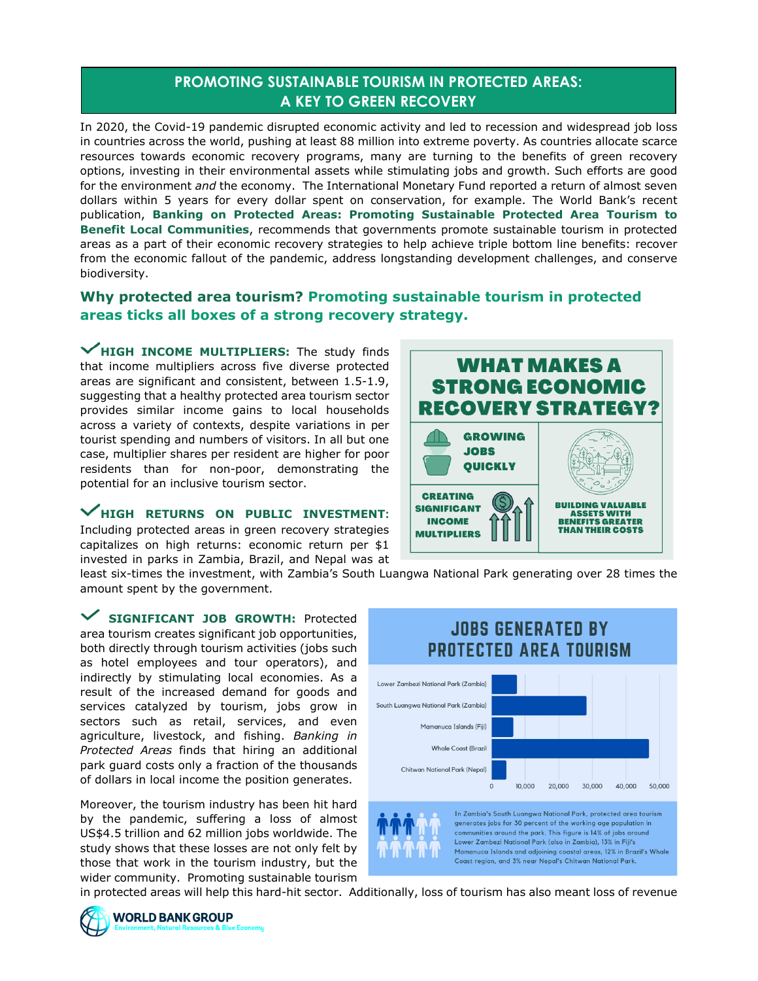## **PROMOTING SUSTAINABLE TOURISM IN PROTECTED AREAS: A KEY TO GREEN RECOVERY**

In 2020, the Covid-19 pandemic disrupted economic activity and led to recession and widespread job loss in countries across the world, pushing at least 88 million into extreme poverty. As countries allocate scarce resources towards economic recovery programs, many are turning to the benefits of green recovery options, investing in their environmental assets while stimulating jobs and growth. Such efforts are good for the environment *and* the economy. The International Monetary Fund reported a return of almost seven dollars within 5 years for every dollar spent on conservation, for example. The World Bank's recent publication, **Banking on Protected Areas: Promoting Sustainable Protected Area Tourism to Benefit Local Communities**, recommends that governments promote sustainable tourism in protected areas as a part of their economic recovery strategies to help achieve triple bottom line benefits: recover from the economic fallout of the pandemic, address longstanding development challenges, and conserve biodiversity.

## **Why protected area tourism? Promoting sustainable tourism in protected areas ticks all boxes of a strong recovery strategy.**

**HIGH INCOME MULTIPLIERS:** The study finds that income multipliers across five diverse protected areas are significant and consistent, between 1.5-1.9, suggesting that a healthy protected area tourism sector provides similar income gains to local households across a variety of contexts, despite variations in per tourist spending and numbers of visitors. In all but one case, multiplier shares per resident are higher for poor residents than for non-poor, demonstrating the potential for an inclusive tourism sector.

## **HIGH RETURNS ON PUBLIC INVESTMENT:**

Including protected areas in green recovery strategies capitalizes on high returns: economic return per \$1 invested in parks in Zambia, Brazil, and Nepal was at



least six-times the investment, with Zambia's South Luangwa National Park generating over 28 times the amount spent by the government.

**SIGNIFICANT JOB GROWTH:** Protected area tourism creates significant job opportunities, both directly through tourism activities (jobs such as hotel employees and tour operators), and indirectly by stimulating local economies. As a result of the increased demand for goods and services catalyzed by tourism, jobs grow in sectors such as retail, services, and even agriculture, livestock, and fishing. *Banking in Protected Areas* finds that hiring an additional park guard costs only a fraction of the thousands of dollars in local income the position generates.

Moreover, the tourism industry has been hit hard by the pandemic, suffering a loss of almost US\$4.5 trillion and 62 million jobs worldwide. The study shows that these losses are not only felt by those that work in the tourism industry, but the wider community. Promoting sustainable tourism



in protected areas will help this hard-hit sector. Additionally, loss of tourism has also meant loss of revenue